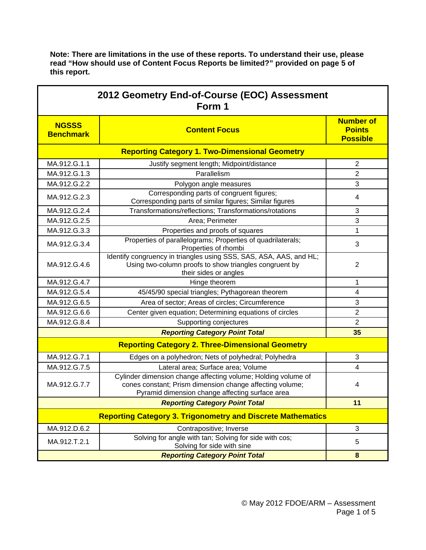| Note: There are limitations in the use of these reports. To understand their use, please |
|------------------------------------------------------------------------------------------|
| read "How should use of Content Focus Reports be limited?" provided on page 5 of         |
| this report.                                                                             |

| 2012 Geometry End-of-Course (EOC) Assessment<br>Form 1             |                                                                                                                                                                              |                                                      |  |  |  |
|--------------------------------------------------------------------|------------------------------------------------------------------------------------------------------------------------------------------------------------------------------|------------------------------------------------------|--|--|--|
| <b>NGSSS</b><br><b>Benchmark</b>                                   | <b>Content Focus</b>                                                                                                                                                         | <b>Number of</b><br><b>Points</b><br><b>Possible</b> |  |  |  |
|                                                                    | <b>Reporting Category 1. Two-Dimensional Geometry</b>                                                                                                                        |                                                      |  |  |  |
| MA.912.G.1.1                                                       | Justify segment length; Midpoint/distance                                                                                                                                    | $\overline{2}$                                       |  |  |  |
| MA.912.G.1.3                                                       | Parallelism                                                                                                                                                                  | $\overline{2}$                                       |  |  |  |
| MA.912.G.2.2                                                       | Polygon angle measures                                                                                                                                                       | 3                                                    |  |  |  |
| MA.912.G.2.3                                                       | Corresponding parts of congruent figures;<br>Corresponding parts of similar figures; Similar figures                                                                         | 4                                                    |  |  |  |
| MA.912.G.2.4                                                       | Transformations/reflections; Transformations/rotations                                                                                                                       | 3                                                    |  |  |  |
| MA.912.G.2.5                                                       | Area; Perimeter                                                                                                                                                              | 3                                                    |  |  |  |
| MA.912.G.3.3                                                       | Properties and proofs of squares                                                                                                                                             | 1                                                    |  |  |  |
| MA.912.G.3.4                                                       | Properties of parallelograms; Properties of quadrilaterals;<br>Properties of rhombi                                                                                          | 3                                                    |  |  |  |
| MA.912.G.4.6                                                       | Identify congruency in triangles using SSS, SAS, ASA, AAS, and HL;<br>Using two-column proofs to show triangles congruent by<br>their sides or angles                        | $\overline{2}$                                       |  |  |  |
| MA.912.G.4.7                                                       | Hinge theorem                                                                                                                                                                | 1                                                    |  |  |  |
| MA.912.G.5.4                                                       | 45/45/90 special triangles; Pythagorean theorem                                                                                                                              | 4                                                    |  |  |  |
| MA.912.G.6.5                                                       | Area of sector; Areas of circles; Circumference                                                                                                                              | 3                                                    |  |  |  |
| MA.912.G.6.6                                                       | Center given equation; Determining equations of circles                                                                                                                      | $\overline{2}$                                       |  |  |  |
| MA.912.G.8.4                                                       | Supporting conjectures                                                                                                                                                       | $\overline{2}$                                       |  |  |  |
|                                                                    | <b>Reporting Category Point Total</b>                                                                                                                                        | 35                                                   |  |  |  |
| <b>Reporting Category 2. Three-Dimensional Geometry</b>            |                                                                                                                                                                              |                                                      |  |  |  |
| MA.912.G.7.1                                                       | Edges on a polyhedron; Nets of polyhedral; Polyhedra                                                                                                                         | 3                                                    |  |  |  |
| MA.912.G.7.5                                                       | Lateral area; Surface area; Volume                                                                                                                                           | $\overline{4}$                                       |  |  |  |
| MA.912.G.7.7                                                       | Cylinder dimension change affecting volume; Holding volume of<br>cones constant; Prism dimension change affecting volume;<br>Pyramid dimension change affecting surface area | 4                                                    |  |  |  |
|                                                                    | <b>Reporting Category Point Total</b>                                                                                                                                        | 11                                                   |  |  |  |
| <b>Reporting Category 3. Trigonometry and Discrete Mathematics</b> |                                                                                                                                                                              |                                                      |  |  |  |
| MA.912.D.6.2                                                       | Contrapositive; Inverse                                                                                                                                                      | $\mathbf{3}$                                         |  |  |  |
| MA.912.T.2.1                                                       | Solving for angle with tan; Solving for side with cos;<br>Solving for side with sine                                                                                         | 5                                                    |  |  |  |
|                                                                    | $\bf{8}$                                                                                                                                                                     |                                                      |  |  |  |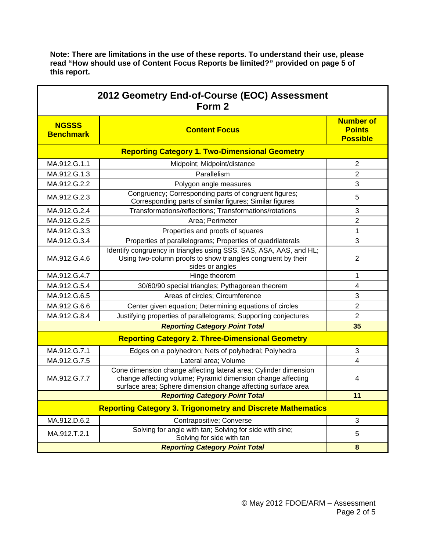| 2012 Geometry End-of-Course (EOC) Assessment<br>Form 2             |                                                                                                                                                                                                 |                                                      |  |  |
|--------------------------------------------------------------------|-------------------------------------------------------------------------------------------------------------------------------------------------------------------------------------------------|------------------------------------------------------|--|--|
| <b>NGSSS</b><br><b>Benchmark</b>                                   | <b>Content Focus</b>                                                                                                                                                                            | <b>Number of</b><br><b>Points</b><br><b>Possible</b> |  |  |
|                                                                    |                                                                                                                                                                                                 |                                                      |  |  |
| MA.912.G.1.1                                                       | Midpoint; Midpoint/distance                                                                                                                                                                     | $\overline{2}$                                       |  |  |
| MA.912.G.1.3                                                       | Parallelism                                                                                                                                                                                     | $\overline{2}$                                       |  |  |
| MA.912.G.2.2                                                       | Polygon angle measures                                                                                                                                                                          | 3                                                    |  |  |
| MA.912.G.2.3                                                       | Congruency; Corresponding parts of congruent figures;<br>Corresponding parts of similar figures; Similar figures                                                                                | 5                                                    |  |  |
| MA.912.G.2.4                                                       | Transformations/reflections; Transformations/rotations                                                                                                                                          | 3                                                    |  |  |
| MA.912.G.2.5                                                       | Area; Perimeter                                                                                                                                                                                 | $\overline{2}$                                       |  |  |
| MA.912.G.3.3                                                       | Properties and proofs of squares                                                                                                                                                                | 1                                                    |  |  |
| MA.912.G.3.4                                                       | Properties of parallelograms; Properties of quadrilaterals                                                                                                                                      | 3                                                    |  |  |
| MA.912.G.4.6                                                       | Identify congruency in triangles using SSS, SAS, ASA, AAS, and HL;<br>Using two-column proofs to show triangles congruent by their<br>sides or angles                                           | $\overline{2}$                                       |  |  |
| MA.912.G.4.7                                                       | Hinge theorem                                                                                                                                                                                   | 1                                                    |  |  |
| MA.912.G.5.4                                                       | 30/60/90 special triangles; Pythagorean theorem                                                                                                                                                 | 4                                                    |  |  |
| MA.912.G.6.5                                                       | Areas of circles; Circumference                                                                                                                                                                 | 3                                                    |  |  |
| MA.912.G.6.6                                                       | Center given equation; Determining equations of circles                                                                                                                                         | $\overline{2}$                                       |  |  |
| MA.912.G.8.4                                                       | Justifying properties of parallelograms; Supporting conjectures                                                                                                                                 | $\overline{2}$                                       |  |  |
| <b>Reporting Category Point Total</b>                              |                                                                                                                                                                                                 | 35                                                   |  |  |
|                                                                    | <b>Reporting Category 2. Three-Dimensional Geometry</b>                                                                                                                                         |                                                      |  |  |
| MA.912.G.7.1                                                       | Edges on a polyhedron; Nets of polyhedral; Polyhedra                                                                                                                                            | 3                                                    |  |  |
| MA.912.G.7.5                                                       | Lateral area; Volume                                                                                                                                                                            | 4                                                    |  |  |
| MA.912.G.7.7                                                       | Cone dimension change affecting lateral area; Cylinder dimension<br>change affecting volume; Pyramid dimension change affecting<br>surface area; Sphere dimension change affecting surface area | 4                                                    |  |  |
|                                                                    | <b>Reporting Category Point Total</b>                                                                                                                                                           | 11                                                   |  |  |
| <b>Reporting Category 3. Trigonometry and Discrete Mathematics</b> |                                                                                                                                                                                                 |                                                      |  |  |
| MA.912.D.6.2                                                       | Contrapositive; Converse                                                                                                                                                                        | 3                                                    |  |  |
| MA.912.T.2.1                                                       | Solving for angle with tan; Solving for side with sine;<br>Solving for side with tan                                                                                                            | 5                                                    |  |  |
|                                                                    | 8                                                                                                                                                                                               |                                                      |  |  |

**Note: There are limitations in the use of these reports. To understand their use, please read "How should use of Content Focus Reports be limited?" provided on page 5 of this report.**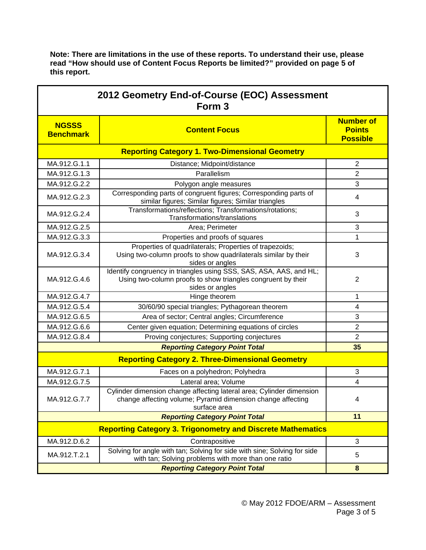| read How should use of Content Focus Reports be limited? provided on page 5 of<br>this report. |                                                                                                                                                       |                                                      |  |  |
|------------------------------------------------------------------------------------------------|-------------------------------------------------------------------------------------------------------------------------------------------------------|------------------------------------------------------|--|--|
| 2012 Geometry End-of-Course (EOC) Assessment<br>Form <sub>3</sub>                              |                                                                                                                                                       |                                                      |  |  |
| <b>NGSSS</b><br><b>Benchmark</b>                                                               | <b>Content Focus</b>                                                                                                                                  | <b>Number of</b><br><b>Points</b><br><b>Possible</b> |  |  |
| <b>Reporting Category 1. Two-Dimensional Geometry</b>                                          |                                                                                                                                                       |                                                      |  |  |
| MA.912.G.1.1                                                                                   | Distance; Midpoint/distance                                                                                                                           | $\overline{2}$                                       |  |  |
| MA.912.G.1.3                                                                                   | Parallelism                                                                                                                                           | $\overline{2}$                                       |  |  |
| MA.912.G.2.2                                                                                   | Polygon angle measures                                                                                                                                | 3                                                    |  |  |
| MA.912.G.2.3                                                                                   | Corresponding parts of congruent figures; Corresponding parts of<br>similar figures; Similar figures; Similar triangles                               | 4                                                    |  |  |
| MA.912.G.2.4                                                                                   | Transformations/reflections; Transformations/rotations;<br>Transformations/translations                                                               | 3                                                    |  |  |
| MA.912.G.2.5                                                                                   | Area; Perimeter                                                                                                                                       | 3                                                    |  |  |
| MA.912.G.3.3                                                                                   | Properties and proofs of squares                                                                                                                      | 1                                                    |  |  |
| MA.912.G.3.4                                                                                   | Properties of quadrilaterals; Properties of trapezoids;<br>Using two-column proofs to show quadrilaterals similar by their<br>sides or angles         | 3                                                    |  |  |
| MA.912.G.4.6                                                                                   | Identify congruency in triangles using SSS, SAS, ASA, AAS, and HL;<br>Using two-column proofs to show triangles congruent by their<br>sides or angles | $\overline{2}$                                       |  |  |
| MA.912.G.4.7                                                                                   | Hinge theorem                                                                                                                                         | $\mathbf 1$                                          |  |  |
| MA.912.G.5.4                                                                                   | 30/60/90 special triangles; Pythagorean theorem                                                                                                       | 4                                                    |  |  |
| MA.912.G.6.5                                                                                   | Area of sector; Central angles; Circumference                                                                                                         | 3                                                    |  |  |
| MA.912.G.6.6                                                                                   | Center given equation; Determining equations of circles                                                                                               | $\mathbf{2}$                                         |  |  |
| MA.912.G.8.4                                                                                   | Proving conjectures; Supporting conjectures                                                                                                           | $\overline{2}$                                       |  |  |
|                                                                                                | <b>Reporting Category Point Total</b>                                                                                                                 | 35                                                   |  |  |
| <b>Reporting Category 2. Three-Dimensional Geometry</b>                                        |                                                                                                                                                       |                                                      |  |  |
| MA.912.G.7.1                                                                                   | Faces on a polyhedron; Polyhedra                                                                                                                      | 3                                                    |  |  |
| MA.912.G.7.5                                                                                   | Lateral area; Volume                                                                                                                                  | 4                                                    |  |  |
| MA.912.G.7.7                                                                                   | Cylinder dimension change affecting lateral area; Cylinder dimension<br>change affecting volume; Pyramid dimension change affecting<br>surface area   | 4                                                    |  |  |
|                                                                                                | <b>Reporting Category Point Total</b>                                                                                                                 | 11                                                   |  |  |
| <b>Reporting Category 3. Trigonometry and Discrete Mathematics</b>                             |                                                                                                                                                       |                                                      |  |  |

MA.912.D.6.2 | Contrapositive Contrapositive 3

for angle with tan, Solving for side with sine, Solving for side<br>with tan; Solving problems with more than one ratio

*Reporting Category Point Total* **8**

MA.912.T.2.1 Solving for angle with tan; Solving for side with sine; Solving for side<br>MA.912.T.2.1

**Note: There are limitations in the use of these reports. To understand their use, please read "How should use of Content Focus Reports be limited?" provided on page 5 of**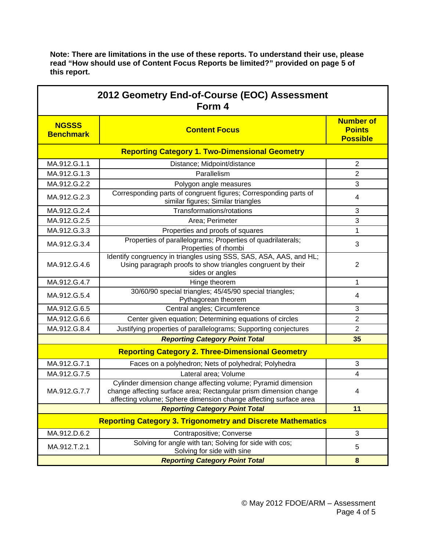| Note: There are limitations in the use of these reports. To understand their use, please |
|------------------------------------------------------------------------------------------|
| read "How should use of Content Focus Reports be limited?" provided on page 5 of         |
| this report.                                                                             |

| 2012 Geometry End-of-Course (EOC) Assessment<br>Form 4 |                                                                                                                                                                                                        |                                                      |  |  |
|--------------------------------------------------------|--------------------------------------------------------------------------------------------------------------------------------------------------------------------------------------------------------|------------------------------------------------------|--|--|
| <b>NGSSS</b><br><b>Benchmark</b>                       | <b>Content Focus</b>                                                                                                                                                                                   | <b>Number of</b><br><b>Points</b><br><b>Possible</b> |  |  |
|                                                        | <b>Reporting Category 1. Two-Dimensional Geometry</b>                                                                                                                                                  |                                                      |  |  |
| MA.912.G.1.1                                           | Distance; Midpoint/distance                                                                                                                                                                            | $\overline{2}$                                       |  |  |
| MA.912.G.1.3                                           | Parallelism                                                                                                                                                                                            | $\overline{2}$                                       |  |  |
| MA.912.G.2.2                                           | Polygon angle measures                                                                                                                                                                                 | 3                                                    |  |  |
| MA.912.G.2.3                                           | Corresponding parts of congruent figures; Corresponding parts of<br>similar figures; Similar triangles                                                                                                 | 4                                                    |  |  |
| MA.912.G.2.4                                           | Transformations/rotations                                                                                                                                                                              | 3                                                    |  |  |
| MA.912.G.2.5                                           | Area; Perimeter                                                                                                                                                                                        | 3                                                    |  |  |
| MA.912.G.3.3                                           | Properties and proofs of squares                                                                                                                                                                       | 1                                                    |  |  |
| MA.912.G.3.4                                           | Properties of parallelograms; Properties of quadrilaterals;<br>Properties of rhombi                                                                                                                    | 3                                                    |  |  |
| MA.912.G.4.6                                           | Identify congruency in triangles using SSS, SAS, ASA, AAS, and HL;<br>Using paragraph proofs to show triangles congruent by their<br>sides or angles                                                   | $\overline{2}$                                       |  |  |
| MA.912.G.4.7                                           | Hinge theorem                                                                                                                                                                                          | 1                                                    |  |  |
| MA.912.G.5.4                                           | 30/60/90 special triangles; 45/45/90 special triangles;<br>Pythagorean theorem                                                                                                                         | 4                                                    |  |  |
| MA.912.G.6.5                                           | Central angles; Circumference                                                                                                                                                                          | 3                                                    |  |  |
| MA.912.G.6.6                                           | Center given equation; Determining equations of circles                                                                                                                                                | $\overline{2}$                                       |  |  |
| MA.912.G.8.4                                           | Justifying properties of parallelograms; Supporting conjectures                                                                                                                                        | $\overline{2}$                                       |  |  |
|                                                        | <b>Reporting Category Point Total</b>                                                                                                                                                                  | 35                                                   |  |  |
|                                                        | <b>Reporting Category 2. Three-Dimensional Geometry</b>                                                                                                                                                |                                                      |  |  |
| MA.912.G.7.1                                           | Faces on a polyhedron; Nets of polyhedral; Polyhedra                                                                                                                                                   | 3                                                    |  |  |
| MA.912.G.7.5                                           | Lateral area; Volume                                                                                                                                                                                   | 4                                                    |  |  |
| MA.912.G.7.7                                           | Cylinder dimension change affecting volume; Pyramid dimension<br>change affecting surface area; Rectangular prism dimension change<br>affecting volume; Sphere dimension change affecting surface area | 4                                                    |  |  |
|                                                        | <b>Reporting Category Point Total</b>                                                                                                                                                                  | 11                                                   |  |  |
|                                                        | <b>Reporting Category 3. Trigonometry and Discrete Mathematics</b>                                                                                                                                     |                                                      |  |  |
| MA.912.D.6.2                                           | Contrapositive; Converse                                                                                                                                                                               | 3                                                    |  |  |
| MA.912.T.2.1                                           | Solving for angle with tan; Solving for side with cos;<br>Solving for side with sine                                                                                                                   | 5                                                    |  |  |
|                                                        | <b>Reporting Category Point Total</b>                                                                                                                                                                  | $\bf{8}$                                             |  |  |